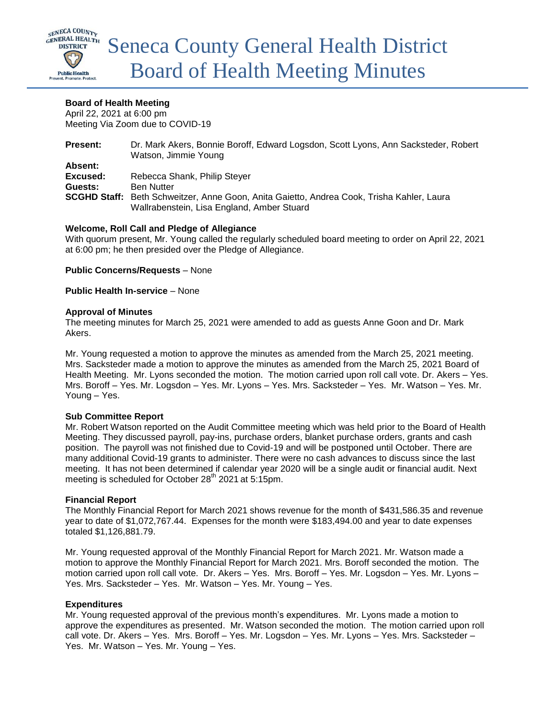

# **Board of Health Meeting**

April 22, 2021 at 6:00 pm Meeting Via Zoom due to COVID-19

| Dr. Mark Akers, Bonnie Boroff, Edward Logsdon, Scott Lyons, Ann Sacksteder, Robert<br>Watson, Jimmie Young                              |
|-----------------------------------------------------------------------------------------------------------------------------------------|
|                                                                                                                                         |
|                                                                                                                                         |
| Rebecca Shank, Philip Steyer                                                                                                            |
| <b>Ben Nutter</b>                                                                                                                       |
| SCGHD Staff: Beth Schweitzer, Anne Goon, Anita Gaietto, Andrea Cook, Trisha Kahler, Laura<br>Wallrabenstein, Lisa England, Amber Stuard |
|                                                                                                                                         |

# **Welcome, Roll Call and Pledge of Allegiance**

With quorum present, Mr. Young called the regularly scheduled board meeting to order on April 22, 2021 at 6:00 pm; he then presided over the Pledge of Allegiance.

**Public Concerns/Requests** – None

**Public Health In-service** – None

## **Approval of Minutes**

The meeting minutes for March 25, 2021 were amended to add as guests Anne Goon and Dr. Mark Akers.

Mr. Young requested a motion to approve the minutes as amended from the March 25, 2021 meeting. Mrs. Sacksteder made a motion to approve the minutes as amended from the March 25, 2021 Board of Health Meeting. Mr. Lyons seconded the motion. The motion carried upon roll call vote. Dr. Akers – Yes. Mrs. Boroff – Yes. Mr. Logsdon – Yes. Mr. Lyons – Yes. Mrs. Sacksteder – Yes. Mr. Watson – Yes. Mr. Young – Yes.

## **Sub Committee Report**

Mr. Robert Watson reported on the Audit Committee meeting which was held prior to the Board of Health Meeting. They discussed payroll, pay-ins, purchase orders, blanket purchase orders, grants and cash position. The payroll was not finished due to Covid-19 and will be postponed until October. There are many additional Covid-19 grants to administer. There were no cash advances to discuss since the last meeting. It has not been determined if calendar year 2020 will be a single audit or financial audit. Next meeting is scheduled for October 28<sup>th</sup> 2021 at 5:15pm.

## **Financial Report**

The Monthly Financial Report for March 2021 shows revenue for the month of \$431,586.35 and revenue year to date of \$1,072,767.44. Expenses for the month were \$183,494.00 and year to date expenses totaled \$1,126,881.79.

Mr. Young requested approval of the Monthly Financial Report for March 2021. Mr. Watson made a motion to approve the Monthly Financial Report for March 2021. Mrs. Boroff seconded the motion. The motion carried upon roll call vote. Dr. Akers – Yes. Mrs. Boroff – Yes. Mr. Logsdon – Yes. Mr. Lyons – Yes. Mrs. Sacksteder – Yes. Mr. Watson – Yes. Mr. Young – Yes.

## **Expenditures**

Mr. Young requested approval of the previous month's expenditures. Mr. Lyons made a motion to approve the expenditures as presented. Mr. Watson seconded the motion. The motion carried upon roll call vote. Dr. Akers – Yes. Mrs. Boroff – Yes. Mr. Logsdon – Yes. Mr. Lyons – Yes. Mrs. Sacksteder – Yes. Mr. Watson – Yes. Mr. Young – Yes.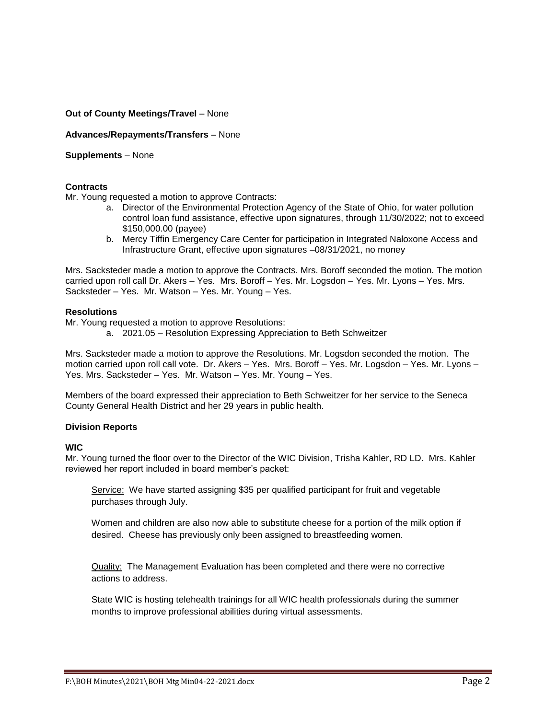# **Out of County Meetings/Travel** – None

## **Advances/Repayments/Transfers** – None

# **Supplements** – None

## **Contracts**

Mr. Young requested a motion to approve Contracts:

- a. Director of the Environmental Protection Agency of the State of Ohio, for water pollution control loan fund assistance, effective upon signatures, through 11/30/2022; not to exceed \$150,000.00 (payee)
- b. Mercy Tiffin Emergency Care Center for participation in Integrated Naloxone Access and Infrastructure Grant, effective upon signatures –08/31/2021, no money

Mrs. Sacksteder made a motion to approve the Contracts. Mrs. Boroff seconded the motion. The motion carried upon roll call Dr. Akers – Yes. Mrs. Boroff – Yes. Mr. Logsdon – Yes. Mr. Lyons – Yes. Mrs. Sacksteder – Yes. Mr. Watson – Yes. Mr. Young – Yes.

### **Resolutions**

Mr. Young requested a motion to approve Resolutions:

a. 2021.05 – Resolution Expressing Appreciation to Beth Schweitzer

Mrs. Sacksteder made a motion to approve the Resolutions. Mr. Logsdon seconded the motion. The motion carried upon roll call vote. Dr. Akers – Yes. Mrs. Boroff – Yes. Mr. Logsdon – Yes. Mr. Lyons – Yes. Mrs. Sacksteder – Yes. Mr. Watson – Yes. Mr. Young – Yes.

Members of the board expressed their appreciation to Beth Schweitzer for her service to the Seneca County General Health District and her 29 years in public health.

## **Division Reports**

**WIC**

Mr. Young turned the floor over to the Director of the WIC Division, Trisha Kahler, RD LD. Mrs. Kahler reviewed her report included in board member's packet:

Service: We have started assigning \$35 per qualified participant for fruit and vegetable purchases through July.

Women and children are also now able to substitute cheese for a portion of the milk option if desired. Cheese has previously only been assigned to breastfeeding women.

Quality: The Management Evaluation has been completed and there were no corrective actions to address.

State WIC is hosting telehealth trainings for all WIC health professionals during the summer months to improve professional abilities during virtual assessments.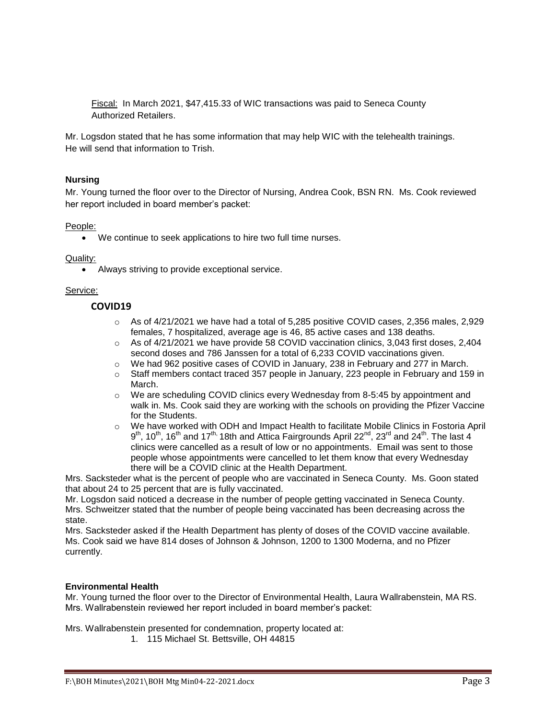Fiscal: In March 2021, \$47,415.33 of WIC transactions was paid to Seneca County Authorized Retailers.

Mr. Logsdon stated that he has some information that may help WIC with the telehealth trainings. He will send that information to Trish.

## **Nursing**

Mr. Young turned the floor over to the Director of Nursing, Andrea Cook, BSN RN. Ms. Cook reviewed her report included in board member's packet:

## People:

We continue to seek applications to hire two full time nurses.

### Quality:

Always striving to provide exceptional service.

### Service:

# **COVID19**

- $\circ$  As of 4/21/2021 we have had a total of 5,285 positive COVID cases, 2,356 males, 2,929 females, 7 hospitalized, average age is 46, 85 active cases and 138 deaths.
- $\circ$  As of 4/21/2021 we have provide 58 COVID vaccination clinics, 3,043 first doses, 2,404 second doses and 786 Janssen for a total of 6,233 COVID vaccinations given.
- o We had 962 positive cases of COVID in January, 238 in February and 277 in March.
- $\circ$  Staff members contact traced 357 people in January, 223 people in February and 159 in March.
- o We are scheduling COVID clinics every Wednesday from 8-5:45 by appointment and walk in. Ms. Cook said they are working with the schools on providing the Pfizer Vaccine for the Students.
- o We have worked with ODH and Impact Health to facilitate Mobile Clinics in Fostoria April  $9^{\text{th}}$ , 10<sup>th</sup>, 16<sup>th</sup> and 17<sup>th,</sup> 18th and Attica Fairgrounds April 22<sup>nd</sup>, 23<sup>rd</sup> and 24<sup>th</sup>. The last 4 clinics were cancelled as a result of low or no appointments. Email was sent to those people whose appointments were cancelled to let them know that every Wednesday there will be a COVID clinic at the Health Department.

Mrs. Sacksteder what is the percent of people who are vaccinated in Seneca County. Ms. Goon stated that about 24 to 25 percent that are is fully vaccinated.

Mr. Logsdon said noticed a decrease in the number of people getting vaccinated in Seneca County. Mrs. Schweitzer stated that the number of people being vaccinated has been decreasing across the state.

Mrs. Sacksteder asked if the Health Department has plenty of doses of the COVID vaccine available. Ms. Cook said we have 814 doses of Johnson & Johnson, 1200 to 1300 Moderna, and no Pfizer currently.

## **Environmental Health**

Mr. Young turned the floor over to the Director of Environmental Health, Laura Wallrabenstein, MA RS. Mrs. Wallrabenstein reviewed her report included in board member's packet:

Mrs. Wallrabenstein presented for condemnation, property located at:

1. 115 Michael St. Bettsville, OH 44815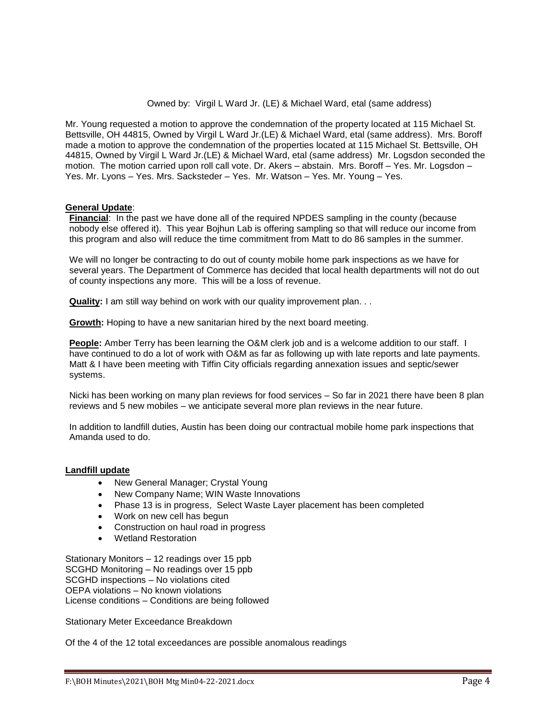### Owned by: Virgil L Ward Jr. (LE) & Michael Ward, etal (same address)

Mr. Young requested a motion to approve the condemnation of the property located at 115 Michael St. Bettsville, OH 44815, Owned by Virgil L Ward Jr.(LE) & Michael Ward, etal (same address). Mrs. Boroff made a motion to approve the condemnation of the properties located at 115 Michael St. Bettsville, OH 44815, Owned by Virgil L Ward Jr.(LE) & Michael Ward, etal (same address) Mr. Logsdon seconded the motion. The motion carried upon roll call vote. Dr. Akers – abstain. Mrs. Boroff – Yes. Mr. Logsdon – Yes. Mr. Lyons – Yes. Mrs. Sacksteder – Yes. Mr. Watson – Yes. Mr. Young – Yes.

# **General Update**:

**Financial**: In the past we have done all of the required NPDES sampling in the county (because nobody else offered it). This year Bojhun Lab is offering sampling so that will reduce our income from this program and also will reduce the time commitment from Matt to do 86 samples in the summer.

We will no longer be contracting to do out of county mobile home park inspections as we have for several years. The Department of Commerce has decided that local health departments will not do out of county inspections any more. This will be a loss of revenue.

**Quality:** I am still way behind on work with our quality improvement plan. . .

**Growth:** Hoping to have a new sanitarian hired by the next board meeting.

People: Amber Terry has been learning the O&M clerk job and is a welcome addition to our staff. I have continued to do a lot of work with O&M as far as following up with late reports and late payments. Matt & I have been meeting with Tiffin City officials regarding annexation issues and septic/sewer systems.

Nicki has been working on many plan reviews for food services – So far in 2021 there have been 8 plan reviews and 5 new mobiles – we anticipate several more plan reviews in the near future.

In addition to landfill duties, Austin has been doing our contractual mobile home park inspections that Amanda used to do.

## **Landfill update**

- New General Manager; Crystal Young
- New Company Name; WIN Waste Innovations
- Phase 13 is in progress, Select Waste Layer placement has been completed
- Work on new cell has begun
- Construction on haul road in progress
- Wetland Restoration

Stationary Monitors – 12 readings over 15 ppb SCGHD Monitoring – No readings over 15 ppb SCGHD inspections – No violations cited OEPA violations – No known violations License conditions – Conditions are being followed

Stationary Meter Exceedance Breakdown

Of the 4 of the 12 total exceedances are possible anomalous readings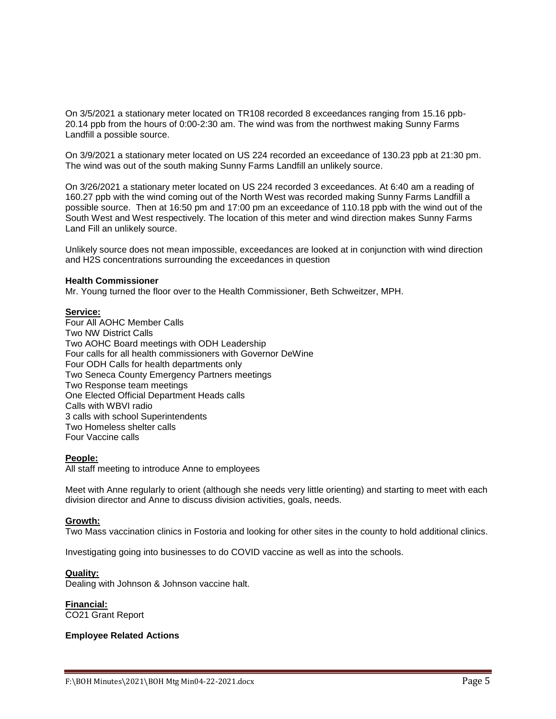On 3/5/2021 a stationary meter located on TR108 recorded 8 exceedances ranging from 15.16 ppb-20.14 ppb from the hours of 0:00-2:30 am. The wind was from the northwest making Sunny Farms Landfill a possible source.

On 3/9/2021 a stationary meter located on US 224 recorded an exceedance of 130.23 ppb at 21:30 pm. The wind was out of the south making Sunny Farms Landfill an unlikely source.

On 3/26/2021 a stationary meter located on US 224 recorded 3 exceedances. At 6:40 am a reading of 160.27 ppb with the wind coming out of the North West was recorded making Sunny Farms Landfill a possible source. Then at 16:50 pm and 17:00 pm an exceedance of 110.18 ppb with the wind out of the South West and West respectively. The location of this meter and wind direction makes Sunny Farms Land Fill an unlikely source.

Unlikely source does not mean impossible, exceedances are looked at in conjunction with wind direction and H2S concentrations surrounding the exceedances in question

### **Health Commissioner**

Mr. Young turned the floor over to the Health Commissioner, Beth Schweitzer, MPH.

### **Service:**

Four All AOHC Member Calls Two NW District Calls Two AOHC Board meetings with ODH Leadership Four calls for all health commissioners with Governor DeWine Four ODH Calls for health departments only Two Seneca County Emergency Partners meetings Two Response team meetings One Elected Official Department Heads calls Calls with WBVI radio 3 calls with school Superintendents Two Homeless shelter calls Four Vaccine calls

## **People:**

All staff meeting to introduce Anne to employees

Meet with Anne regularly to orient (although she needs very little orienting) and starting to meet with each division director and Anne to discuss division activities, goals, needs.

### **Growth:**

Two Mass vaccination clinics in Fostoria and looking for other sites in the county to hold additional clinics.

Investigating going into businesses to do COVID vaccine as well as into the schools.

### **Quality:**

Dealing with Johnson & Johnson vaccine halt.

**Financial:**

CO21 Grant Report

### **Employee Related Actions**